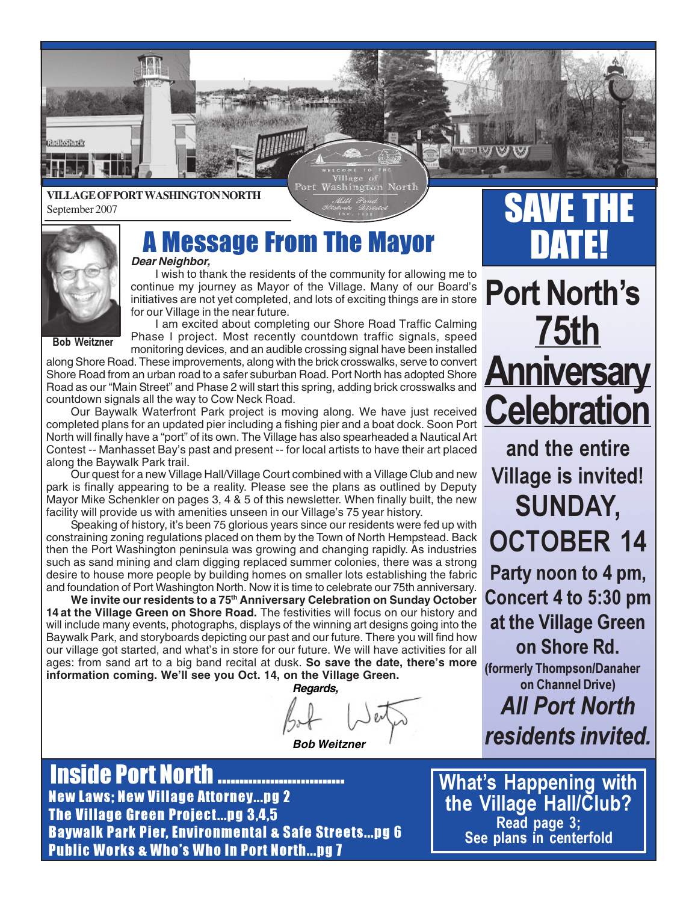

ort Washington Nort



**Brillofferd** 

# **A Message From The Mayor DATE!**

I wish to thank the residents of the community for allowing me to continue my journey as Mayor of the Village. Many of our Board's initiatives are not yet completed, and lots of exciting things are in store for our Village in the near future.

Bob Weitzner

I am excited about completing our Shore Road Traffic Calming Phase I project. Most recently countdown traffic signals, speed monitoring devices, and an audible crossing signal have been installed

along Shore Road. These improvements, along with the brick crosswalks, serve to convert Shore Road from an urban road to a safer suburban Road. Port North has adopted Shore Road as our "Main Street" and Phase 2 will start this spring, adding brick crosswalks and countdown signals all the way to Cow Neck Road.

Our Baywalk Waterfront Park project is moving along. We have just received completed plans for an updated pier including a fishing pier and a boat dock. Soon Port North will finally have a "port" of its own. The Village has also spearheaded a Nautical Art Contest -- Manhasset Bay's past and present -- for local artists to have their art placed along the Baywalk Park trail.

Our quest for a new Village Hall/Village Court combined with a Village Club and new park is finally appearing to be a reality. Please see the plans as outlined by Deputy Mayor Mike Schenkler on pages 3, 4 & 5 of this newsletter. When finally built, the new facility will provide us with amenities unseen in our Village's 75 year history.

Speaking of history, it's been 75 glorious years since our residents were fed up with constraining zoning regulations placed on them by the Town of North Hempstead. Back then the Port Washington peninsula was growing and changing rapidly. As industries such as sand mining and clam digging replaced summer colonies, there was a strong desire to house more people by building homes on smaller lots establishing the fabric and foundation of Port Washington North. Now it is time to celebrate our 75th anniversary.

**We invite our residents to a 75th Anniversary Celebration on Sunday October 14 at the Village Green on Shore Road.** The festivities will focus on our history and will include many events, photographs, displays of the winning art designs going into the Baywalk Park, and storyboards depicting our past and our future. There you will find how our village got started, and what's in store for our future. We will have activities for all ages: from sand art to a big band recital at dusk. **So save the date, there's more information coming. We'll see you Oct. 14, on the Village Green.**

**Regards,**

**Bob Weitzner**

## New Laws; New Village Attorney...pg 2 The Village Green Project...pg 3,4,5 Baywalk Park Pier, Environmental & Safe Streets...pg 6 Public Works & Who's Who In Port North...pg 7 **Inside Port North ...............**

Public Works...pg. 7 & Notices...pg. 8

SAVE THE

# Port North's 75th **Anniversary Celebration**

and the entire Village is invited! SUNDAY, OCTOBER 14

Party noon to 4 pm, Concert 4 to 5:30 pm at the Village Green on Shore Rd.

(formerly Thompson/Danaher on Channel Drive)

All Port North residents invited.

What's Happening with the Village Hall/Club? Read page 3; See plans in centerfold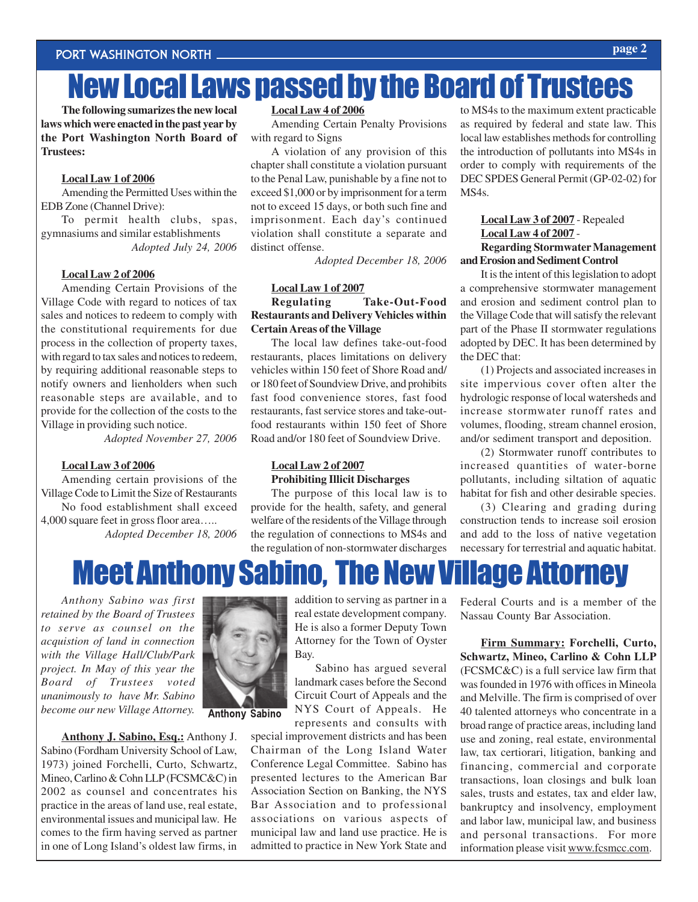# New Local Laws passed by the Board of Trustees

**The following sumarizes the new local laws which were enacted in the past year by the Port Washington North Board of Trustees:**

#### **Local Law 1 of 2006**

Amending the Permitted Uses within the EDB Zone (Channel Drive):

To permit health clubs, spas, gymnasiums and similar establishments *Adopted July 24, 2006*

## **Local Law 2 of 2006**

Amending Certain Provisions of the Village Code with regard to notices of tax sales and notices to redeem to comply with the constitutional requirements for due process in the collection of property taxes, with regard to tax sales and notices to redeem, by requiring additional reasonable steps to notify owners and lienholders when such reasonable steps are available, and to provide for the collection of the costs to the Village in providing such notice.

*Adopted November 27, 2006*

#### **Local Law 3 of 2006**

Amending certain provisions of the Village Code to Limit the Size of Restaurants No food establishment shall exceed 4,000 square feet in gross floor area…..

*Adopted December 18, 2006*

#### **Local Law 4 of 2006**

Amending Certain Penalty Provisions with regard to Signs

A violation of any provision of this chapter shall constitute a violation pursuant to the Penal Law, punishable by a fine not to exceed \$1,000 or by imprisonment for a term not to exceed 15 days, or both such fine and imprisonment. Each day's continued violation shall constitute a separate and distinct offense.

*Adopted December 18, 2006*

### **Local Law 1 of 2007**

**Regulating Take-Out-Food Restaurants and Delivery Vehicles within Certain Areas of the Village**

The local law defines take-out-food restaurants, places limitations on delivery vehicles within 150 feet of Shore Road and/ or 180 feet of Soundview Drive, and prohibits fast food convenience stores, fast food restaurants, fast service stores and take-outfood restaurants within 150 feet of Shore Road and/or 180 feet of Soundview Drive.

## **Local Law 2 of 2007 Prohibiting Illicit Discharges**

The purpose of this local law is to provide for the health, safety, and general welfare of the residents of the Village through the regulation of connections to MS4s and the regulation of non-stormwater discharges

to MS4s to the maximum extent practicable as required by federal and state law. This local law establishes methods for controlling the introduction of pollutants into MS4s in order to comply with requirements of the DEC SPDES General Permit (GP-02-02) for MS4s.

## **Local Law 3 of 2007** - Repealed **Local Law 4 of 2007** - **Regarding Stormwater Management**

**and Erosion and Sediment Control**

It is the intent of this legislation to adopt a comprehensive stormwater management and erosion and sediment control plan to the Village Code that will satisfy the relevant part of the Phase II stormwater regulations adopted by DEC. It has been determined by the DEC that:

(1) Projects and associated increases in site impervious cover often alter the hydrologic response of local watersheds and increase stormwater runoff rates and volumes, flooding, stream channel erosion, and/or sediment transport and deposition.

(2) Stormwater runoff contributes to increased quantities of water-borne pollutants, including siltation of aquatic habitat for fish and other desirable species.

(3) Clearing and grading during construction tends to increase soil erosion and add to the loss of native vegetation necessary for terrestrial and aquatic habitat.



*Anthony Sabino was first retained by the Board of Trustees to serve as counsel on the acquistion of land in connection with the Village Hall/Club/Park project. In May of this year the Board of Trustees voted unanimously to have Mr. Sabino become our new Village Attorney.*

**Anthony J. Sabino, Esq.:** Anthony J. Sabino (Fordham University School of Law, 1973) joined Forchelli, Curto, Schwartz, Mineo, Carlino & Cohn LLP (FCSMC&C) in 2002 as counsel and concentrates his practice in the areas of land use, real estate, environmental issues and municipal law. He comes to the firm having served as partner in one of Long Island's oldest law firms, in



Anthony Sabino

addition to serving as partner in a real estate development company. He is also a former Deputy Town Attorney for the Town of Oyster Bay.

Sabino has argued several landmark cases before the Second Circuit Court of Appeals and the NYS Court of Appeals. He represents and consults with

special improvement districts and has been Chairman of the Long Island Water Conference Legal Committee. Sabino has presented lectures to the American Bar Association Section on Banking, the NYS Bar Association and to professional associations on various aspects of municipal law and land use practice. He is admitted to practice in New York State and Federal Courts and is a member of the Nassau County Bar Association.

**Firm Summary: Forchelli, Curto, Schwartz, Mineo, Carlino & Cohn LLP** (FCSMC&C) is a full service law firm that was founded in 1976 with offices in Mineola and Melville. The firm is comprised of over 40 talented attorneys who concentrate in a broad range of practice areas, including land use and zoning, real estate, environmental law, tax certiorari, litigation, banking and financing, commercial and corporate transactions, loan closings and bulk loan sales, trusts and estates, tax and elder law, bankruptcy and insolvency, employment and labor law, municipal law, and business and personal transactions. For more information please visit www.fcsmcc.com.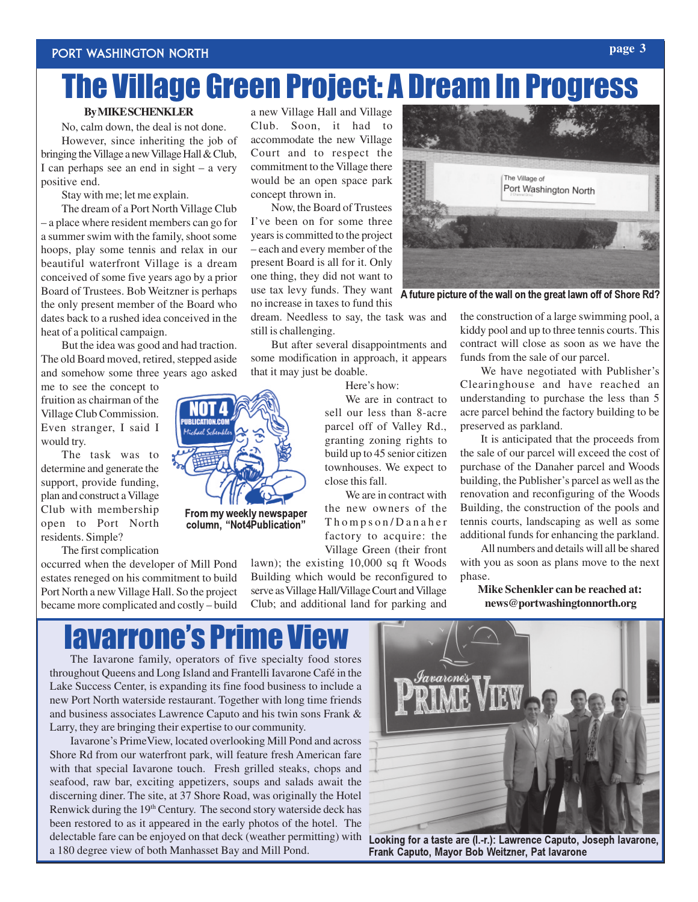# The Village Green Project: A Dream In Progress

## **By MIKE SCHENKLER**

No, calm down, the deal is not done. However, since inheriting the job of bringing the Village a new Village Hall & Club, I can perhaps see an end in sight – a very positive end.

Stay with me; let me explain.

The dream of a Port North Village Club – a place where resident members can go for a summer swim with the family, shoot some hoops, play some tennis and relax in our beautiful waterfront Village is a dream conceived of some five years ago by a prior Board of Trustees. Bob Weitzner is perhaps the only present member of the Board who dates back to a rushed idea conceived in the heat of a political campaign.

But the idea was good and had traction. The old Board moved, retired, stepped aside and somehow some three years ago asked

me to see the concept to fruition as chairman of the Village Club Commission. Even stranger, I said I would try.

The task was to determine and generate the support, provide funding, plan and construct a Village Club with membership open to Port North residents. Simple?

The first complication

occurred when the developer of Mill Pond estates reneged on his commitment to build Port North a new Village Hall. So the project became more complicated and costly – build

a new Village Hall and Village Club. Soon, it had to accommodate the new Village Court and to respect the commitment to the Village there would be an open space park concept thrown in.

Now, the Board of Trustees I've been on for some three years is committed to the project – each and every member of the present Board is all for it. Only one thing, they did not want to no increase in taxes to fund this

dream. Needless to say, the task was and still is challenging.

But after several disappointments and some modification in approach, it appears that it may just be doable.

Here's how:

We are in contract to build up to 45 senior citizen townhouses. We expect to close this fall.

We are in contract with the new owners of the Thompson/Danaher factory to acquire: the Village Green (their front

lawn); the existing 10,000 sq ft Woods Building which would be reconfigured to serve as Village Hall/Village Court and Village Club; and additional land for parking and

the construction of a large swimming pool, a

We have negotiated with Publisher's Clearinghouse and have reached an understanding to purchase the less than 5 acre parcel behind the factory building to be preserved as parkland.

It is anticipated that the proceeds from the sale of our parcel will exceed the cost of purchase of the Danaher parcel and Woods building, the Publisher's parcel as well as the renovation and reconfiguring of the Woods Building, the construction of the pools and tennis courts, landscaping as well as some additional funds for enhancing the parkland.

All numbers and details will all be shared with you as soon as plans move to the next phase.

**Mike Schenkler can be reached at: news@portwashingtonnorth.org**

kiddy pool and up to three tennis courts. This contract will close as soon as we have the funds from the sale of our parcel.

sell our less than 8-acre parcel off of Valley Rd., granting zoning rights to

 $10.1.1$ 

From my weekly newspaper column, "Not4Publication"



use tax levy funds. They want A future picture of the wall on the great lawn off of Shore Rd?

# **lavarrone's Pri**

The Iavarone family, operators of five specialty food stores throughout Queens and Long Island and Frantelli Iavarone Café in the Lake Success Center, is expanding its fine food business to include a new Port North waterside restaurant. Together with long time friends and business associates Lawrence Caputo and his twin sons Frank & Larry, they are bringing their expertise to our community.

Iavarone's PrimeView, located overlooking Mill Pond and across Shore Rd from our waterfront park, will feature fresh American fare with that special Iavarone touch. Fresh grilled steaks, chops and seafood, raw bar, exciting appetizers, soups and salads await the discerning diner. The site, at 37 Shore Road, was originally the Hotel Renwick during the 19<sup>th</sup> Century. The second story waterside deck has been restored to as it appeared in the early photos of the hotel. The delectable fare can be enjoyed on that deck (weather permitting) with a 180 degree view of both Manhasset Bay and Mill Pond.



Looking for a taste are (l.-r.): Lawrence Caputo, Joseph Iavarone, Frank Caputo, Mayor Bob Weitzner, Pat Iavarone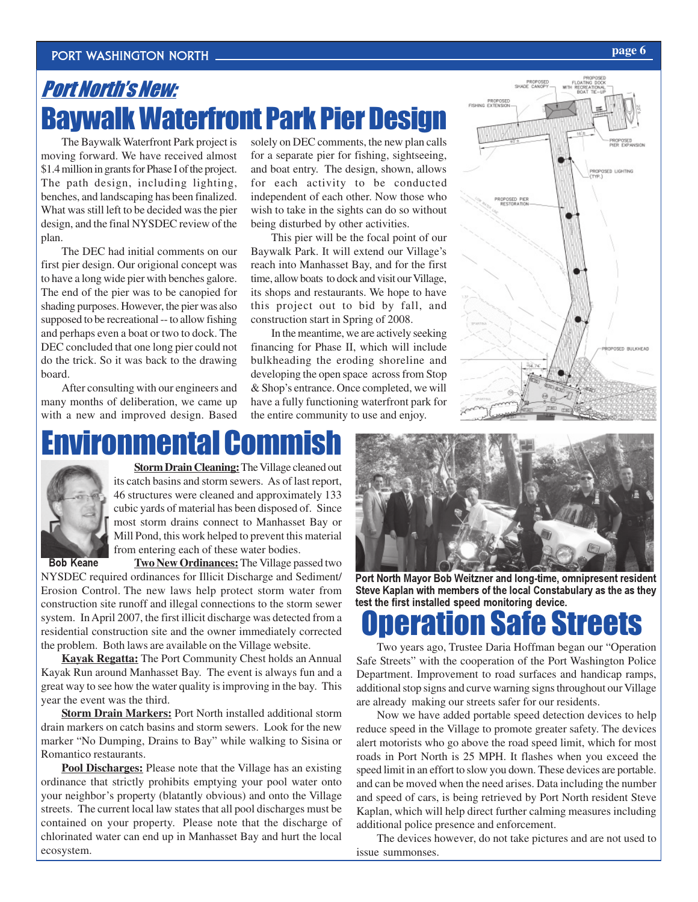## PORT WASHINGTON NORTH **page 6**

## Port North's New: Baywalk Waterfront Park Pier Design

The Baywalk Waterfront Park project is moving forward. We have received almost \$1.4 million in grants for Phase I of the project. The path design, including lighting, benches, and landscaping has been finalized. What was still left to be decided was the pier design, and the final NYSDEC review of the plan.

The DEC had initial comments on our first pier design. Our origional concept was to have a long wide pier with benches galore. The end of the pier was to be canopied for shading purposes. However, the pier was also supposed to be recreational -- to allow fishing and perhaps even a boat or two to dock. The DEC concluded that one long pier could not do the trick. So it was back to the drawing board.

After consulting with our engineers and many months of deliberation, we came up with a new and improved design. Based

solely on DEC comments, the new plan calls for a separate pier for fishing, sightseeing, and boat entry. The design, shown, allows for each activity to be conducted independent of each other. Now those who wish to take in the sights can do so without being disturbed by other activities.

This pier will be the focal point of our Baywalk Park. It will extend our Village's reach into Manhasset Bay, and for the first time, allow boats to dock and visit our Village, its shops and restaurants. We hope to have this project out to bid by fall, and construction start in Spring of 2008.

In the meantime, we are actively seeking financing for Phase II, which will include bulkheading the eroding shoreline and developing the open space across from Stop & Shop's entrance. Once completed, we will have a fully functioning waterfront park for the entire community to use and enjoy.



# Environmental Commish



**Storm Drain Cleaning:** The Village cleaned out its catch basins and storm sewers. As of last report, 46 structures were cleaned and approximately 133 cubic yards of material has been disposed of. Since most storm drains connect to Manhasset Bay or Mill Pond, this work helped to prevent this material from entering each of these water bodies.

Bob Keane

**Two New Ordinances:** The Village passed two

NYSDEC required ordinances for Illicit Discharge and Sediment/ Erosion Control. The new laws help protect storm water from construction site runoff and illegal connections to the storm sewer system. In April 2007, the first illicit discharge was detected from a residential construction site and the owner immediately corrected the problem. Both laws are available on the Village website.

**Kayak Regatta:** The Port Community Chest holds an Annual Kayak Run around Manhasset Bay. The event is always fun and a great way to see how the water quality is improving in the bay. This year the event was the third.

**Storm Drain Markers:** Port North installed additional storm drain markers on catch basins and storm sewers. Look for the new marker "No Dumping, Drains to Bay" while walking to Sisina or Romantico restaurants.

**Pool Discharges:** Please note that the Village has an existing ordinance that strictly prohibits emptying your pool water onto your neighbor's property (blatantly obvious) and onto the Village streets. The current local law states that all pool discharges must be contained on your property. Please note that the discharge of chlorinated water can end up in Manhasset Bay and hurt the local ecosystem.



Port North Mayor Bob Weitzner and long-time, omnipresent resident Steve Kaplan with members of the local Constabulary as the as they test the first installed speed monitoring device.

## ion Safe Streets

Two years ago, Trustee Daria Hoffman began our "Operation Safe Streets" with the cooperation of the Port Washington Police Department. Improvement to road surfaces and handicap ramps, additional stop signs and curve warning signs throughout our Village are already making our streets safer for our residents.

Now we have added portable speed detection devices to help reduce speed in the Village to promote greater safety. The devices alert motorists who go above the road speed limit, which for most roads in Port North is 25 MPH. It flashes when you exceed the speed limit in an effort to slow you down. These devices are portable. and can be moved when the need arises. Data including the number and speed of cars, is being retrieved by Port North resident Steve Kaplan, which will help direct further calming measures including additional police presence and enforcement.

The devices however, do not take pictures and are not used to issue summonses.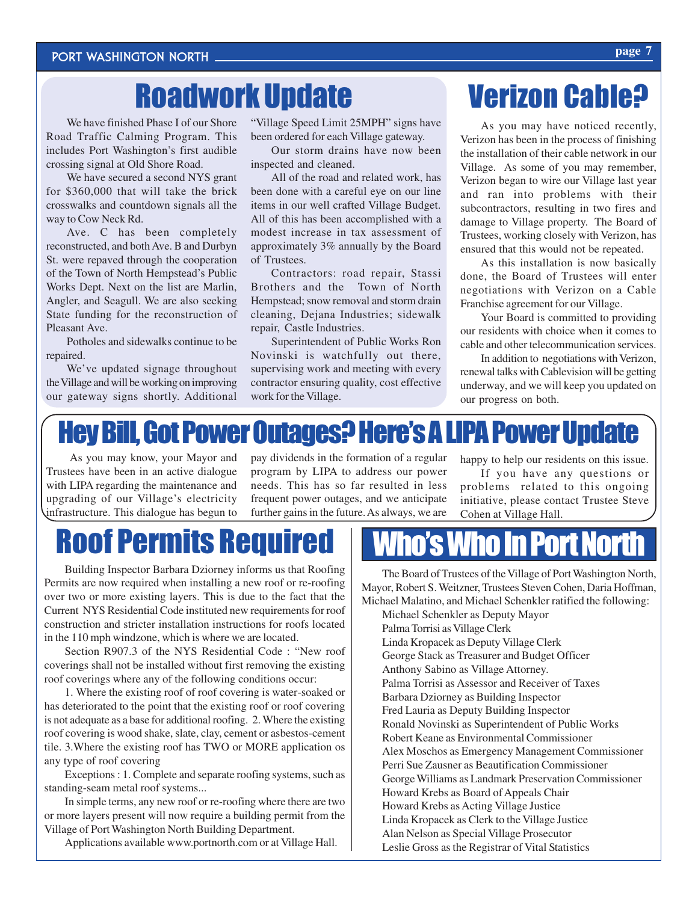# Roadwork Update

We have finished Phase I of our Shore Road Traffic Calming Program. This includes Port Washington's first audible crossing signal at Old Shore Road.

We have secured a second NYS grant for \$360,000 that will take the brick crosswalks and countdown signals all the way to Cow Neck Rd.

Ave. C has been completely reconstructed, and both Ave. B and Durbyn St. were repaved through the cooperation of the Town of North Hempstead's Public Works Dept. Next on the list are Marlin, Angler, and Seagull. We are also seeking State funding for the reconstruction of Pleasant Ave.

Potholes and sidewalks continue to be repaired.

We've updated signage throughout the Village and will be working on improving our gateway signs shortly. Additional

"Village Speed Limit 25MPH" signs have been ordered for each Village gateway.

Our storm drains have now been inspected and cleaned.

All of the road and related work, has been done with a careful eye on our line items in our well crafted Village Budget. All of this has been accomplished with a modest increase in tax assessment of approximately 3% annually by the Board of Trustees.

Contractors: road repair, Stassi Brothers and the Town of North Hempstead; snow removal and storm drain cleaning, Dejana Industries; sidewalk repair, Castle Industries.

Superintendent of Public Works Ron Novinski is watchfully out there, supervising work and meeting with every contractor ensuring quality, cost effective work for the Village.

# Verizon Cable?

As you may have noticed recently, Verizon has been in the process of finishing the installation of their cable network in our Village. As some of you may remember, Verizon began to wire our Village last year and ran into problems with their subcontractors, resulting in two fires and damage to Village property. The Board of Trustees, working closely with Verizon, has ensured that this would not be repeated.

As this installation is now basically done, the Board of Trustees will enter negotiations with Verizon on a Cable Franchise agreement for our Village.

Your Board is committed to providing our residents with choice when it comes to cable and other telecommunication services.

In addition to negotiations with Verizon, renewal talks with Cablevision will be getting underway, and we will keep you updated on our progress on both.

## Hey Bill, Got Power Outages? Here's A LIPA Power Update

 As you may know, your Mayor and Trustees have been in an active dialogue with LIPA regarding the maintenance and upgrading of our Village's electricity infrastructure. This dialogue has begun to pay dividends in the formation of a regular program by LIPA to address our power needs. This has so far resulted in less frequent power outages, and we anticipate further gains in the future. As always, we are

happy to help our residents on this issue.

If you have any questions or problems related to this ongoing initiative, please contact Trustee Steve Cohen at Village Hall.

# Roof Permits Required Who's Who In Port No

Building Inspector Barbara Dziorney informs us that Roofing Permits are now required when installing a new roof or re-roofing over two or more existing layers. This is due to the fact that the Current NYS Residential Code instituted new requirements for roof construction and stricter installation instructions for roofs located in the 110 mph windzone, which is where we are located.

Section R907.3 of the NYS Residential Code : "New roof coverings shall not be installed without first removing the existing roof coverings where any of the following conditions occur:

1. Where the existing roof of roof covering is water-soaked or has deteriorated to the point that the existing roof or roof covering is not adequate as a base for additional roofing. 2. Where the existing roof covering is wood shake, slate, clay, cement or asbestos-cement tile. 3.Where the existing roof has TWO or MORE application os any type of roof covering

Exceptions : 1. Complete and separate roofing systems, such as standing-seam metal roof systems...

In simple terms, any new roof or re-roofing where there are two or more layers present will now require a building permit from the Village of Port Washington North Building Department.

Applications available www.portnorth.com or at Village Hall.

The Board of Trustees of the Village of Port Washington North, Mayor, Robert S. Weitzner, Trustees Steven Cohen, Daria Hoffman, Michael Malatino, and Michael Schenkler ratified the following:

Michael Schenkler as Deputy Mayor Palma Torrisi as Village Clerk Linda Kropacek as Deputy Village Clerk George Stack as Treasurer and Budget Officer Anthony Sabino as Village Attorney. Palma Torrisi as Assessor and Receiver of Taxes Barbara Dziorney as Building Inspector Fred Lauria as Deputy Building Inspector Ronald Novinski as Superintendent of Public Works Robert Keane as Environmental Commissioner Alex Moschos as Emergency Management Commissioner Perri Sue Zausner as Beautification Commissioner George Williams as Landmark Preservation Commissioner Howard Krebs as Board of Appeals Chair Howard Krebs as Acting Village Justice Linda Kropacek as Clerk to the Village Justice Alan Nelson as Special Village Prosecutor Leslie Gross as the Registrar of Vital Statistics